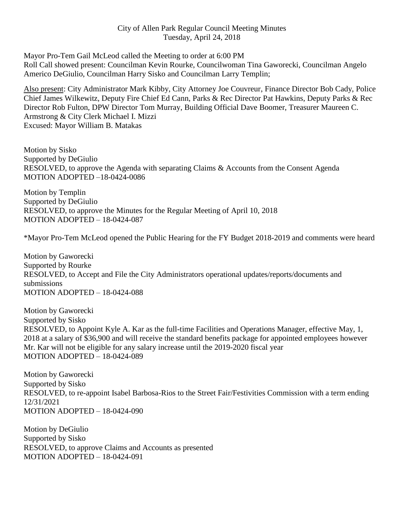## City of Allen Park Regular Council Meeting Minutes Tuesday, April 24, 2018

Mayor Pro-Tem Gail McLeod called the Meeting to order at 6:00 PM

Roll Call showed present: Councilman Kevin Rourke, Councilwoman Tina Gaworecki, Councilman Angelo Americo DeGiulio, Councilman Harry Sisko and Councilman Larry Templin;

Also present: City Administrator Mark Kibby, City Attorney Joe Couvreur, Finance Director Bob Cady, Police Chief James Wilkewitz, Deputy Fire Chief Ed Cann, Parks & Rec Director Pat Hawkins, Deputy Parks & Rec Director Rob Fulton, DPW Director Tom Murray, Building Official Dave Boomer, Treasurer Maureen C. Armstrong & City Clerk Michael I. Mizzi Excused: Mayor William B. Matakas

Motion by Sisko Supported by DeGiulio RESOLVED, to approve the Agenda with separating Claims & Accounts from the Consent Agenda MOTION ADOPTED –18-0424-0086

Motion by Templin Supported by DeGiulio RESOLVED, to approve the Minutes for the Regular Meeting of April 10, 2018 MOTION ADOPTED – 18-0424-087

\*Mayor Pro-Tem McLeod opened the Public Hearing for the FY Budget 2018-2019 and comments were heard

Motion by Gaworecki Supported by Rourke RESOLVED, to Accept and File the City Administrators operational updates/reports/documents and submissions MOTION ADOPTED – 18-0424-088

Motion by Gaworecki Supported by Sisko RESOLVED, to Appoint Kyle A. Kar as the full-time Facilities and Operations Manager, effective May, 1, 2018 at a salary of \$36,900 and will receive the standard benefits package for appointed employees however Mr. Kar will not be eligible for any salary increase until the 2019-2020 fiscal year MOTION ADOPTED – 18-0424-089

Motion by Gaworecki Supported by Sisko RESOLVED, to re-appoint Isabel Barbosa-Rios to the Street Fair/Festivities Commission with a term ending 12/31/2021 MOTION ADOPTED – 18-0424-090

Motion by DeGiulio Supported by Sisko RESOLVED, to approve Claims and Accounts as presented MOTION ADOPTED – 18-0424-091